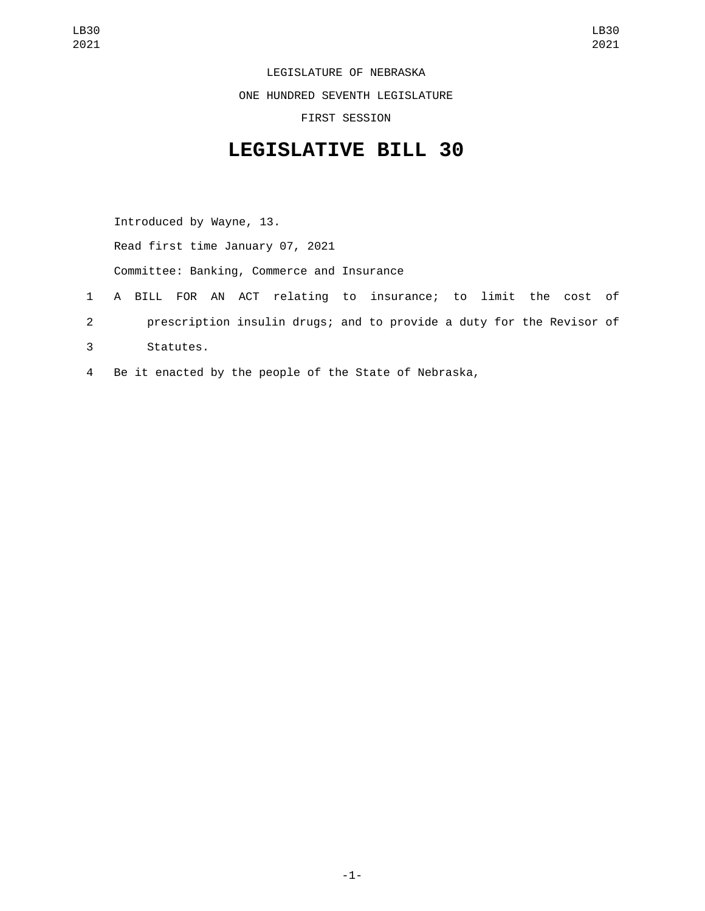LEGISLATURE OF NEBRASKA

ONE HUNDRED SEVENTH LEGISLATURE

FIRST SESSION

## **LEGISLATIVE BILL 30**

Introduced by Wayne, 13. Read first time January 07, 2021 Committee: Banking, Commerce and Insurance 1 A BILL FOR AN ACT relating to insurance; to limit the cost of 2 prescription insulin drugs; and to provide a duty for the Revisor of 3 Statutes.

4 Be it enacted by the people of the State of Nebraska,